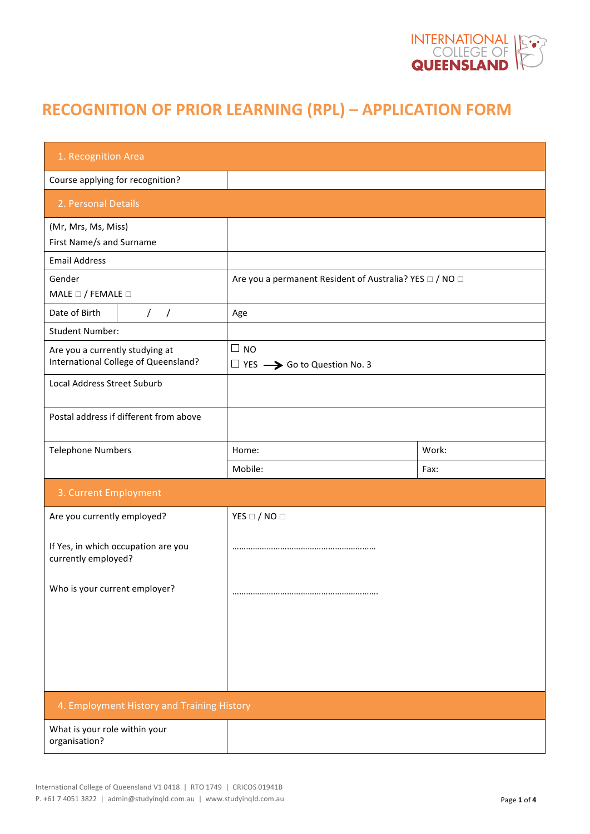

# **RECOGNITION OF PRIOR LEARNING (RPL) – APPLICATION FORM**

| 1. Recognition Area                                                     |                                                            |       |  |  |  |
|-------------------------------------------------------------------------|------------------------------------------------------------|-------|--|--|--|
| Course applying for recognition?                                        |                                                            |       |  |  |  |
| 2. Personal Details                                                     |                                                            |       |  |  |  |
| (Mr, Mrs, Ms, Miss)<br>First Name/s and Surname                         |                                                            |       |  |  |  |
| <b>Email Address</b>                                                    |                                                            |       |  |  |  |
| Gender<br>MALE $\Box$ / FEMALE $\Box$                                   | Are you a permanent Resident of Australia? YES □ / NO □    |       |  |  |  |
| Date of Birth<br>$\frac{1}{2}$                                          | Age                                                        |       |  |  |  |
| <b>Student Number:</b>                                                  |                                                            |       |  |  |  |
| Are you a currently studying at<br>International College of Queensland? | $\Box$ NO<br>$\Box$ YES $\rightarrow$ Go to Question No. 3 |       |  |  |  |
| <b>Local Address Street Suburb</b>                                      |                                                            |       |  |  |  |
| Postal address if different from above                                  |                                                            |       |  |  |  |
| <b>Telephone Numbers</b>                                                | Home:                                                      | Work: |  |  |  |
|                                                                         | Mobile:                                                    | Fax:  |  |  |  |
| 3. Current Employment                                                   |                                                            |       |  |  |  |
| Are you currently employed?                                             | YES $\Box$ / NO $\Box$                                     |       |  |  |  |
| If Yes, in which occupation are you<br>currently employed?              |                                                            |       |  |  |  |
| Who is your current employer?                                           |                                                            |       |  |  |  |
|                                                                         |                                                            |       |  |  |  |
|                                                                         |                                                            |       |  |  |  |
|                                                                         |                                                            |       |  |  |  |
| 4. Employment History and Training History                              |                                                            |       |  |  |  |
| What is your role within your<br>organisation?                          |                                                            |       |  |  |  |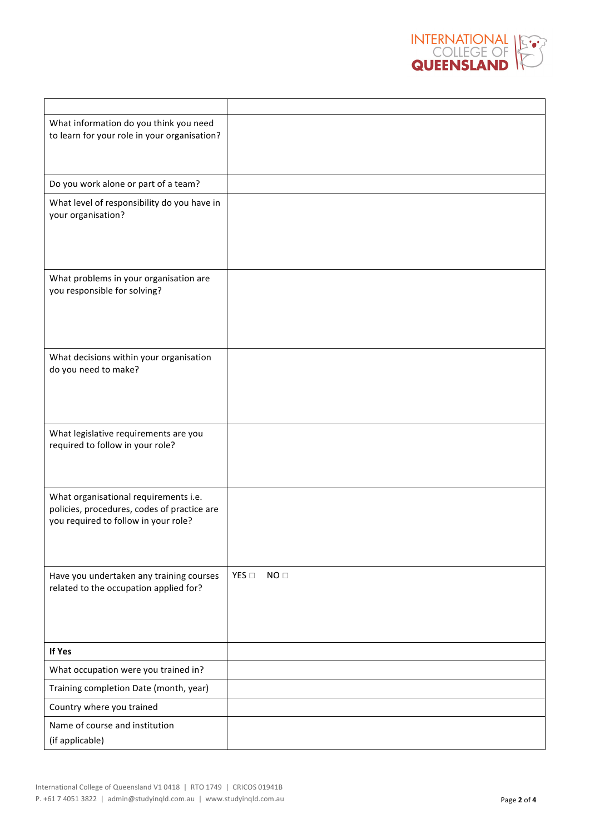

| What information do you think you need<br>to learn for your role in your organisation?                                       |                                  |
|------------------------------------------------------------------------------------------------------------------------------|----------------------------------|
| Do you work alone or part of a team?                                                                                         |                                  |
| What level of responsibility do you have in<br>your organisation?                                                            |                                  |
| What problems in your organisation are<br>you responsible for solving?                                                       |                                  |
| What decisions within your organisation<br>do you need to make?                                                              |                                  |
| What legislative requirements are you<br>required to follow in your role?                                                    |                                  |
| What organisational requirements i.e.<br>policies, procedures, codes of practice are<br>you required to follow in your role? |                                  |
| Have you undertaken any training courses<br>related to the occupation applied for?                                           | YES $\square$<br>NO <sub>□</sub> |
| If Yes                                                                                                                       |                                  |
| What occupation were you trained in?                                                                                         |                                  |
| Training completion Date (month, year)                                                                                       |                                  |
| Country where you trained                                                                                                    |                                  |
| Name of course and institution<br>(if applicable)                                                                            |                                  |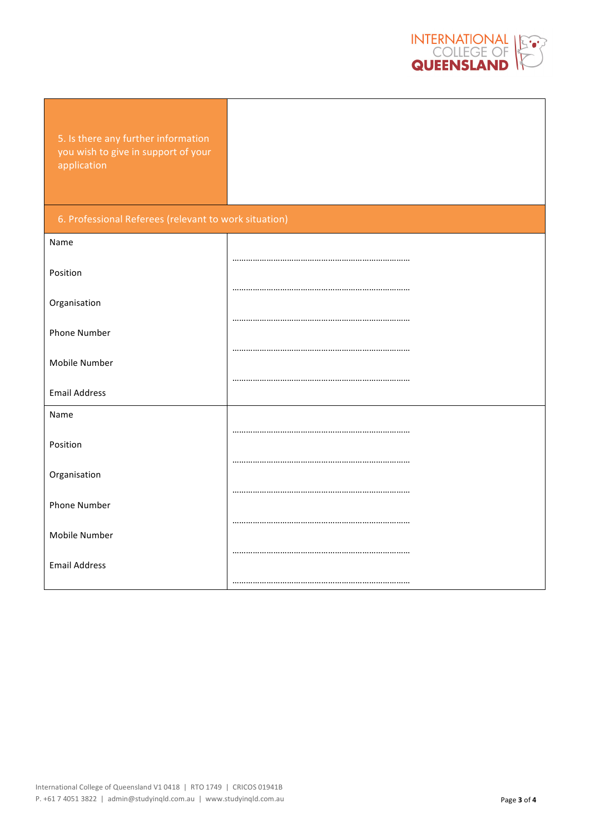

5. Is there any further information you wish to give in support of your application

### 6. Professional Referees (relevant to work situation)

| Name                 |  |
|----------------------|--|
|                      |  |
| Position             |  |
|                      |  |
| Organisation         |  |
| Phone Number         |  |
|                      |  |
| Mobile Number        |  |
|                      |  |
| <b>Email Address</b> |  |
| Name                 |  |
|                      |  |
| Position             |  |
|                      |  |
| Organisation         |  |
|                      |  |
| Phone Number         |  |
| Mobile Number        |  |
|                      |  |
| <b>Email Address</b> |  |
|                      |  |